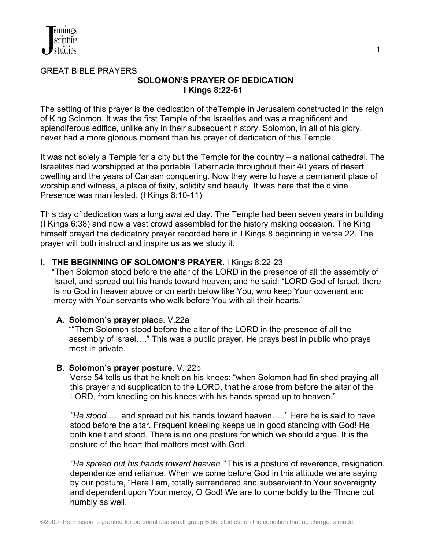

#### GREAT BIBLE PRAYERS **SOLOMON'S PRAYER OF DEDICATION I Kings 8:22-61**

The setting of this prayer is the dedication of theTemple in Jerusalem constructed in the reign of King Solomon. It was the first Temple of the Israelites and was a magnificent and splendiferous edifice, unlike any in their subsequent history. Solomon, in all of his glory, never had a more glorious moment than his prayer of dedication of this Temple.

It was not solely a Temple for a city but the Temple for the country – a national cathedral. The Israelites had worshipped at the portable Tabernacle throughout their 40 years of desert dwelling and the years of Canaan conquering. Now they were to have a permanent place of worship and witness, a place of fixity, solidity and beauty. It was here that the divine Presence was manifested. (I Kings 8:10-11)

This day of dedication was a long awaited day. The Temple had been seven years in building (I Kings 6:38) and now a vast crowd assembled for the history making occasion. The King himself prayed the dedicatory prayer recorded here in I Kings 8 beginning in verse 22. The prayer will both instruct and inspire us as we study it.

### **I. THE BEGINNING OF SOLOMON'S PRAYER.** I Kings 8:22-23

 "Then Solomon stood before the altar of the LORD in the presence of all the assembly of Israel, and spread out his hands toward heaven; and he said: "LORD God of Israel, there is no God in heaven above or on earth below like You, who keep Your covenant and mercy with Your servants who walk before You with all their hearts."

### **A. Solomon's prayer plac**e. V.22a

""Then Solomon stood before the altar of the LORD in the presence of all the assembly of Israel…." This was a public prayer. He prays best in public who prays most in private.

### **B. Solomon's prayer posture**. V. 22b

Verse 54 tells us that he knelt on his knees: "when Solomon had finished praying all this prayer and supplication to the LORD, that he arose from before the altar of the LORD, from kneeling on his knees with his hands spread up to heaven."

*"He stood*….. and spread out his hands toward heaven….." Here he is said to have stood before the altar. Frequent kneeling keeps us in good standing with God! He both knelt and stood. There is no one posture for which we should argue. It is the posture of the heart that matters most with God.

*"He spread out his hands toward heaven."* This is a posture of reverence, resignation, dependence and reliance. When we come before God in this attitude we are saying by our posture, "Here I am, totally surrendered and subservient to Your sovereignty and dependent upon Your mercy, O God! We are to come boldly to the Throne but humbly as well.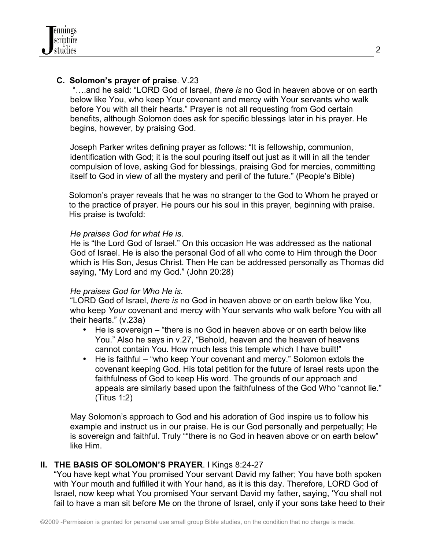### **C. Solomon's prayer of praise**. V.23

 "….and he said: "LORD God of Israel, *there is* no God in heaven above or on earth below like You, who keep Your covenant and mercy with Your servants who walk before You with all their hearts." Prayer is not all requesting from God certain benefits, although Solomon does ask for specific blessings later in his prayer. He begins, however, by praising God.

Joseph Parker writes defining prayer as follows: "It is fellowship, communion, identification with God; it is the soul pouring itself out just as it will in all the tender compulsion of love, asking God for blessings, praising God for mercies, committing itself to God in view of all the mystery and peril of the future." (People's Bible)

Solomon's prayer reveals that he was no stranger to the God to Whom he prayed or to the practice of prayer. He pours our his soul in this prayer, beginning with praise. His praise is twofold:

#### *He praises God for what He is*.

He is "the Lord God of Israel." On this occasion He was addressed as the national God of Israel. He is also the personal God of all who come to Him through the Door which is His Son, Jesus Christ. Then He can be addressed personally as Thomas did saying, "My Lord and my God." (John 20:28)

### *He praises God for Who He is.*

"LORD God of Israel, *there is* no God in heaven above or on earth below like You, who keep *Your* covenant and mercy with Your servants who walk before You with all their hearts." (v.23a)

- He is sovereign "there is no God in heaven above or on earth below like You." Also he says in v.27, "Behold, heaven and the heaven of heavens cannot contain You. How much less this temple which I have built!"
- He is faithful "who keep Your covenant and mercy." Solomon extols the covenant keeping God. His total petition for the future of Israel rests upon the faithfulness of God to keep His word. The grounds of our approach and appeals are similarly based upon the faithfulness of the God Who "cannot lie." (Titus 1:2)

May Solomon's approach to God and his adoration of God inspire us to follow his example and instruct us in our praise. He is our God personally and perpetually; He is sovereign and faithful. Truly ""there is no God in heaven above or on earth below" like Him.

### **II. THE BASIS OF SOLOMON'S PRAYER**. I Kings 8:24-27

"You have kept what You promised Your servant David my father; You have both spoken with Your mouth and fulfilled it with Your hand, as it is this day. Therefore, LORD God of Israel, now keep what You promised Your servant David my father, saying, 'You shall not fail to have a man sit before Me on the throne of Israel, only if your sons take heed to their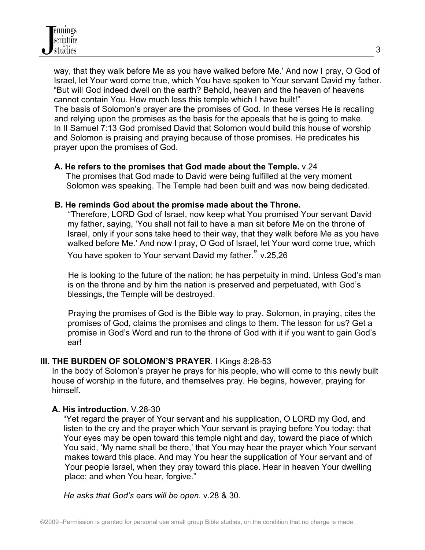way, that they walk before Me as you have walked before Me.' And now I pray, O God of Israel, let Your word come true, which You have spoken to Your servant David my father. "But will God indeed dwell on the earth? Behold, heaven and the heaven of heavens cannot contain You. How much less this temple which I have built!" The basis of Solomon's prayer are the promises of God. In these verses He is recalling and relying upon the promises as the basis for the appeals that he is going to make. In II Samuel 7:13 God promised David that Solomon would build this house of worship and Solomon is praising and praying because of those promises. He predicates his prayer upon the promises of God.

### **A. He refers to the promises that God made about the Temple.** v.24

The promises that God made to David were being fulfilled at the very moment Solomon was speaking. The Temple had been built and was now being dedicated.

#### **B. He reminds God about the promise made about the Throne.**

"Therefore, LORD God of Israel, now keep what You promised Your servant David my father, saying, 'You shall not fail to have a man sit before Me on the throne of Israel, only if your sons take heed to their way, that they walk before Me as you have walked before Me.' And now I pray, O God of Israel, let Your word come true, which

You have spoken to Your servant David my father." v.25,26

 He is looking to the future of the nation; he has perpetuity in mind. Unless God's man is on the throne and by him the nation is preserved and perpetuated, with God's blessings, the Temple will be destroyed.

 Praying the promises of God is the Bible way to pray. Solomon, in praying, cites the promises of God, claims the promises and clings to them. The lesson for us? Get a promise in God's Word and run to the throne of God with it if you want to gain God's ear!

### **III. THE BURDEN OF SOLOMON'S PRAYER**. I Kings 8:28-53

In the body of Solomon's prayer he prays for his people, who will come to this newly built house of worship in the future, and themselves pray. He begins, however, praying for himself.

### **A. His introduction**. V.28-30

 "Yet regard the prayer of Your servant and his supplication, O LORD my God, and listen to the cry and the prayer which Your servant is praying before You today: that Your eyes may be open toward this temple night and day, toward the place of which You said, 'My name shall be there,' that You may hear the prayer which Your servant makes toward this place. And may You hear the supplication of Your servant and of Your people Israel, when they pray toward this place. Hear in heaven Your dwelling place; and when You hear, forgive."

*He asks that God's ears will be open.* v.28 & 30.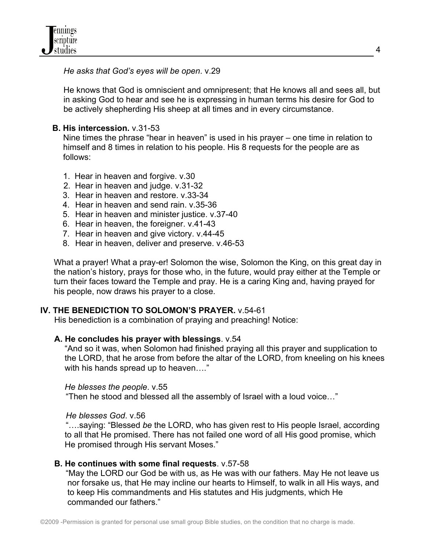*He asks that God's eyes will be open*. v.29

 He knows that God is omniscient and omnipresent; that He knows all and sees all, but in asking God to hear and see he is expressing in human terms his desire for God to be actively shepherding His sheep at all times and in every circumstance.

## **B. His intercession.** v.31-53

 Nine times the phrase "hear in heaven" is used in his prayer – one time in relation to himself and 8 times in relation to his people. His 8 requests for the people are as follows:

- 1. Hear in heaven and forgive. v.30
- 2. Hear in heaven and judge. v.31-32
- 3. Hear in heaven and restore. v.33-34
- 4. Hear in heaven and send rain. v.35-36
- 5. Hear in heaven and minister justice. v.37-40
- 6. Hear in heaven, the foreigner. v.41-43
- 7. Hear in heaven and give victory. v.44-45
- 8. Hear in heaven, deliver and preserve. v.46-53

What a prayer! What a pray-er! Solomon the wise, Solomon the King, on this great day in the nation's history, prays for those who, in the future, would pray either at the Temple or turn their faces toward the Temple and pray. He is a caring King and, having prayed for his people, now draws his prayer to a close.

# **IV. THE BENEDICTION TO SOLOMON'S PRAYER.** v.54-61

His benediction is a combination of praying and preaching! Notice:

### **A. He concludes his prayer with blessings**. v.54

"And so it was, when Solomon had finished praying all this prayer and supplication to the LORD, that he arose from before the altar of the LORD, from kneeling on his knees with his hands spread up to heaven...."

### *He blesses the people*. v.55

"Then he stood and blessed all the assembly of Israel with a loud voice…"

### *He blesses God*. v.56

 "….saying: "Blessed *be* the LORD, who has given rest to His people Israel, according to all that He promised. There has not failed one word of all His good promise, which He promised through His servant Moses."

# **B. He continues with some final requests**. v.57-58

 "May the LORD our God be with us, as He was with our fathers. May He not leave us nor forsake us, that He may incline our hearts to Himself, to walk in all His ways, and to keep His commandments and His statutes and His judgments, which He commanded our fathers."